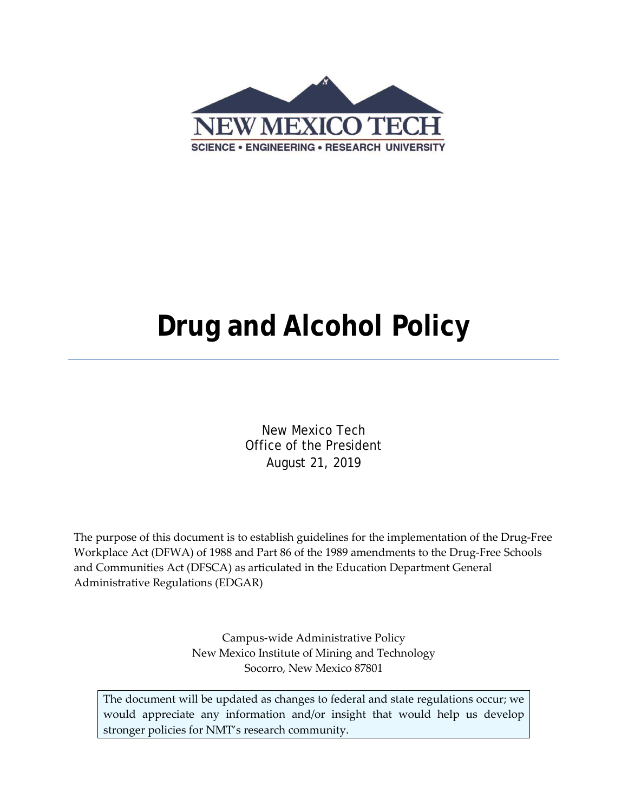

# **Drug and Alcohol Policy**

New Mexico Tech Office of the President August 21, 2019

The purpose of this document is to establish guidelines for the implementation of the Drug-Free Workplace Act (DFWA) of 1988 and Part 86 of the 1989 amendments to the Drug-Free Schools and Communities Act (DFSCA) as articulated in the Education Department General Administrative Regulations (EDGAR)

> Campus-wide Administrative Policy New Mexico Institute of Mining and Technology Socorro, New Mexico 87801

The document will be updated as changes to federal and state regulations occur; we would appreciate any information and/or insight that would help us develop stronger policies for NMT's research community.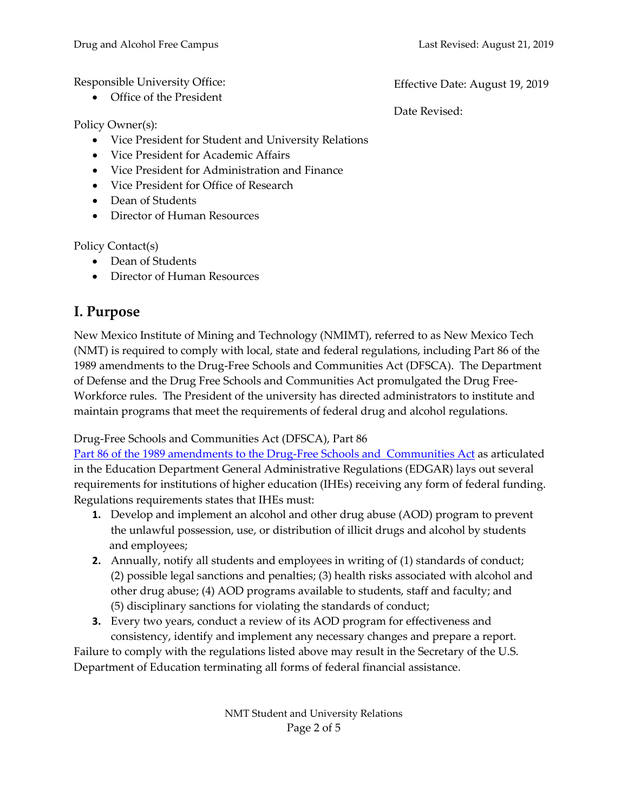Responsible University Office:

• Office of the President

Policy Owner(s):

- Vice President for Student and University Relations
- Vice President for Academic Affairs
- Vice President for Administration and Finance
- Vice President for Office of Research
- Dean of Students
- Director of Human Resources

Policy Contact(s)

- Dean of Students
- Director of Human Resources

# **I. Purpose**

New Mexico Institute of Mining and Technology (NMIMT), referred to as New Mexico Tech (NMT) is required to comply with local, state and federal regulations, including Part 86 of the 1989 amendments to the Drug-Free Schools and Communities Act (DFSCA). The Department of Defense and the Drug Free Schools and Communities Act promulgated the Drug Free-Workforce rules. The President of the university has directed administrators to institute and maintain programs that meet the requirements of federal drug and alcohol regulations.

Drug-Free Schools and Communities Act (DFSCA), Part 86

[Part 86 of the 1989 amendments to the Drug-Free Schools](https://www.ecfr.gov/cgi-bin/text-idx?SID=393301a7cdccca1ea71f18aae51824e7&node=34:1.1.1.1.30&rgn=div5) and Communities Act as articulated in the Education Department General Administrative Regulations (EDGAR) lays out several requirements for institutions of higher education (IHEs) receiving any form of federal funding. Regulations requirements states that IHEs must:

- **1.** Develop and implement an alcohol and other drug abuse (AOD) program to prevent the unlawful possession, use, or distribution of illicit drugs and alcohol by students and employees;
- **2.** Annually, notify all students and employees in writing of (1) standards of conduct; (2) possible legal sanctions and penalties; (3) health risks associated with alcohol and other drug abuse; (4) AOD programs available to students, staff and faculty; and (5) disciplinary sanctions for violating the standards of conduct;
- **3.** Every two years, conduct a review of its AOD program for effectiveness and consistency, identify and implement any necessary changes and prepare a report.

Failure to comply with the regulations listed above may result in the Secretary of the U.S. Department of Education terminating all forms of federal financial assistance.

> NMT Student and University Relations Page 2 of 5

Effective Date: August 19, 2019

Date Revised: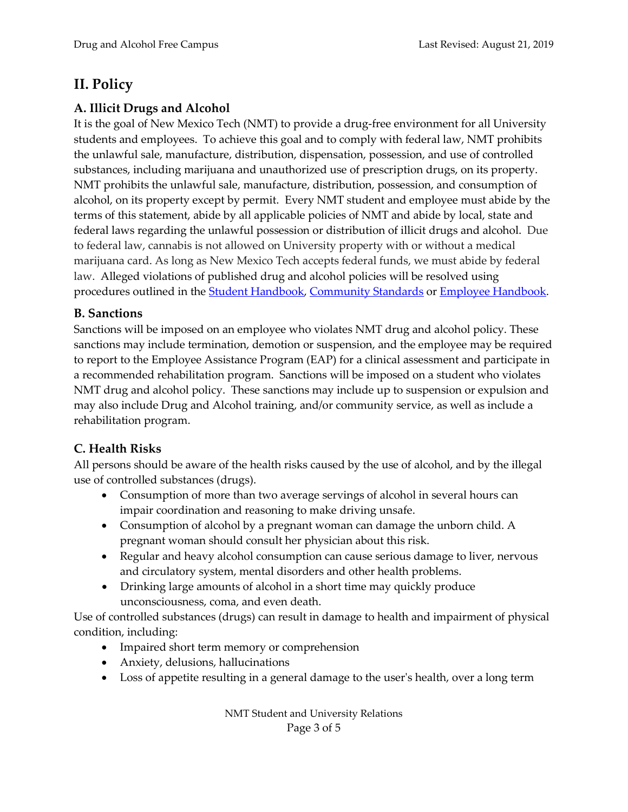## **II. Policy**

## **A. Illicit Drugs and Alcohol**

It is the goal of New Mexico Tech (NMT) to provide a drug-free environment for all University students and employees. To achieve this goal and to comply with federal law, NMT prohibits the unlawful sale, manufacture, distribution, dispensation, possession, and use of controlled substances, including marijuana and unauthorized use of prescription drugs, on its property. NMT prohibits the unlawful sale, manufacture, distribution, possession, and consumption of alcohol, on its property except by permit. Every NMT student and employee must abide by the terms of this statement, abide by all applicable policies of NMT and abide by local, state and federal laws regarding the unlawful possession or distribution of illicit drugs and alcohol. Due to federal law, cannabis is not allowed on University property with or without a medical marijuana card. As long as New Mexico Tech accepts federal funds, we must abide by federal law. Alleged violations of published drug and alcohol policies will be resolved using procedures outlined in the **Student Handbook**, [Community Standards](https://www.nmt.edu/reslife/docs/COMMUNITY-STANDARDS.pdf) or **Employee Handbook**.

## **B. Sanctions**

Sanctions will be imposed on an employee who violates NMT drug and alcohol policy. These sanctions may include termination, demotion or suspension, and the employee may be required to report to the Employee Assistance Program (EAP) for a clinical assessment and participate in a recommended rehabilitation program. Sanctions will be imposed on a student who violates NMT drug and alcohol policy. These sanctions may include up to suspension or expulsion and may also include Drug and Alcohol training, and/or community service, as well as include a rehabilitation program.

## **C. Health Risks**

All persons should be aware of the health risks caused by the use of alcohol, and by the illegal use of controlled substances (drugs).

- Consumption of more than two average servings of alcohol in several hours can impair coordination and reasoning to make driving unsafe.
- Consumption of alcohol by a pregnant woman can damage the unborn child. A pregnant woman should consult her physician about this risk.
- Regular and heavy alcohol consumption can cause serious damage to liver, nervous and circulatory system, mental disorders and other health problems.
- Drinking large amounts of alcohol in a short time may quickly produce unconsciousness, coma, and even death.

Use of controlled substances (drugs) can result in damage to health and impairment of physical condition, including:

- Impaired short term memory or comprehension
- Anxiety, delusions, hallucinations
- Loss of appetite resulting in a general damage to the user's health, over a long term

NMT Student and University Relations Page 3 of 5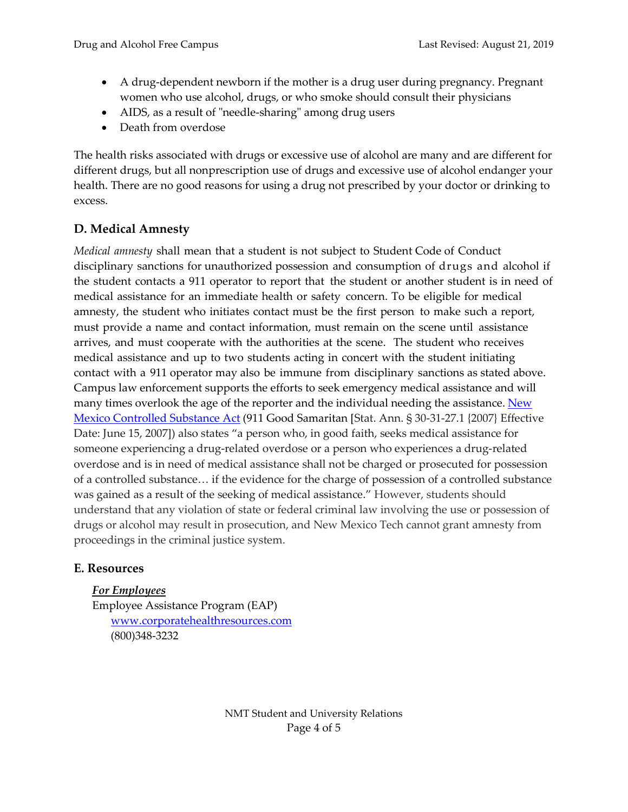- A drug-dependent newborn if the mother is a drug user during pregnancy. Pregnant women who use alcohol, drugs, or who smoke should consult their physicians
- AIDS, as a result of "needle-sharing" among drug users
- Death from overdose

The health risks associated with drugs or excessive use of alcohol are many and are different for different drugs, but all nonprescription use of drugs and excessive use of alcohol endanger your health. There are no good reasons for using a drug not prescribed by your doctor or drinking to excess.

## **D. Medical Amnesty**

*Medical amnesty* shall mean that a student is not subject to Student Code of Conduct disciplinary sanctions for unauthorized possession and consumption of drugs and alcohol if the student contacts a 911 operator to report that the student or another student is in need of medical assistance for an immediate health or safety concern. To be eligible for medical amnesty, the student who initiates contact must be the first person to make such a report, must provide a name and contact information, must remain on the scene until assistance arrives, and must cooperate with the authorities at the scene. The student who receives medical assistance and up to two students acting in concert with the student initiating contact with a 911 operator may also be immune from disciplinary sanctions as stated above. Campus law enforcement supports the efforts to seek emergency medical assistance and will many times overlook the age of the reporter and the individual needing the assistance. New [Mexico Controlled Substance Act](https://www.nmlegis.gov/sessions/07%20Regular/final/SB0200.pdf) (911 Good Samaritan [Stat. Ann. § 30-31-27.1 {2007} Effective Date: June 15, 2007]) also states "a person who, in good faith, seeks medical assistance for someone experiencing a drug-related overdose or a person who experiences a drug-related overdose and is in need of medical assistance shall not be charged or prosecuted for possession of a controlled substance… if the evidence for the charge of possession of a controlled substance was gained as a result of the seeking of medical assistance." However, students should understand that any violation of state or federal criminal law involving the use or possession of drugs or alcohol may result in prosecution, and New Mexico Tech cannot grant amnesty from proceedings in the criminal justice system.

#### **E. Resources**

*For Employees*

Employee Assistance Program (EAP) [www.corporatehealthresources.com](http://www.corporatehealthresources.com/) (800)348-3232

> NMT Student and University Relations Page 4 of 5